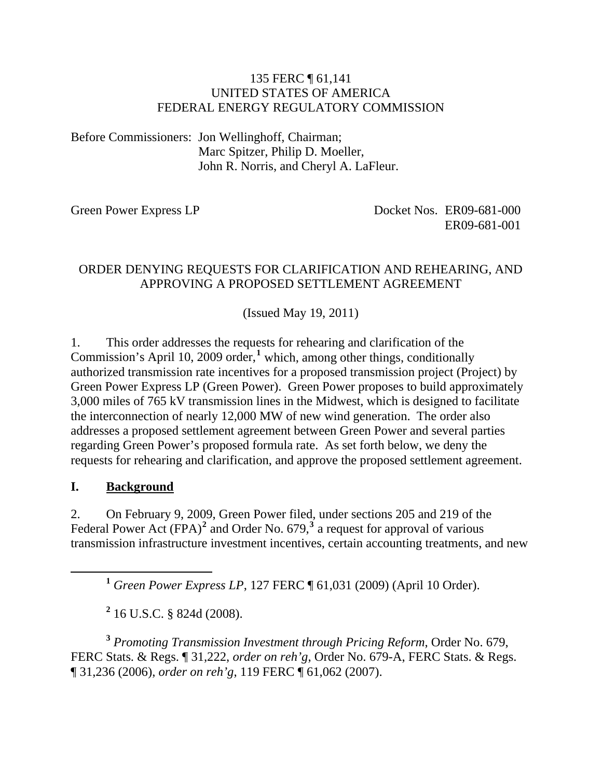#### 135 FERC ¶ 61,141 UNITED STATES OF AMERICA FEDERAL ENERGY REGULATORY COMMISSION

Before Commissioners: Jon Wellinghoff, Chairman; Marc Spitzer, Philip D. Moeller, John R. Norris, and Cheryl A. LaFleur.

Green Power Express LP<br>
Docket Nos. ER09-681-000 ER09-681-001

#### ORDER DENYING REQUESTS FOR CLARIFICATION AND REHEARING, AND APPROVING A PROPOSED SETTLEMENT AGREEMENT

(Issued May 19, 2011)

1. This order addresses the requests for rehearing and clarification of the Commission's April 10, 2009 order,**[1](#page-0-0)** which, among other things, conditionally authorized transmission rate incentives for a proposed transmission project (Project) by Green Power Express LP (Green Power). Green Power proposes to build approximately 3,000 miles of 765 kV transmission lines in the Midwest, which is designed to facilitate the interconnection of nearly 12,000 MW of new wind generation. The order also addresses a proposed settlement agreement between Green Power and several parties regarding Green Power's proposed formula rate. As set forth below, we deny the requests for rehearing and clarification, and approve the proposed settlement agreement.

#### **I. Background**

2. On February 9, 2009, Green Power filed, under sections 205 and 219 of the Federal Power Act  $(FPA)^2$  $(FPA)^2$  and Order No. 679,<sup>[3](#page-0-2)</sup> a request for approval of various transmission infrastructure investment incentives, certain accounting treatments, and new

**<sup>1</sup>** *Green Power Express LP*, 127 FERC ¶ 61,031 (2009) (April 10 Order).

**2** 16 U.S.C. § 824d (2008).

<span id="page-0-2"></span><span id="page-0-1"></span><span id="page-0-0"></span>**<sup>3</sup>** *Promoting Transmission Investment through Pricing Reform*, Order No. 679, FERC Stats. & Regs. ¶ 31,222, *order on reh'g*, Order No. 679-A, FERC Stats. & Regs. ¶ 31,236 (2006), *order on reh'g*, 119 FERC ¶ 61,062 (2007).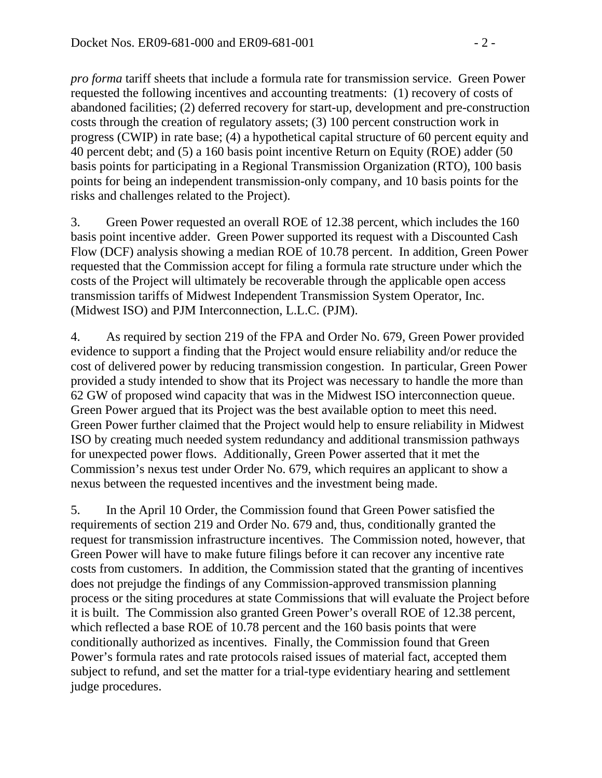*pro forma* tariff sheets that include a formula rate for transmission service. Green Power requested the following incentives and accounting treatments: (1) recovery of costs of abandoned facilities; (2) deferred recovery for start-up, development and pre-construction costs through the creation of regulatory assets; (3) 100 percent construction work in progress (CWIP) in rate base; (4) a hypothetical capital structure of 60 percent equity and 40 percent debt; and (5) a 160 basis point incentive Return on Equity (ROE) adder (50 basis points for participating in a Regional Transmission Organization (RTO), 100 basis points for being an independent transmission-only company, and 10 basis points for the risks and challenges related to the Project).

3. Green Power requested an overall ROE of 12.38 percent, which includes the 160 basis point incentive adder. Green Power supported its request with a Discounted Cash Flow (DCF) analysis showing a median ROE of 10.78 percent. In addition, Green Power requested that the Commission accept for filing a formula rate structure under which the costs of the Project will ultimately be recoverable through the applicable open access transmission tariffs of Midwest Independent Transmission System Operator, Inc. (Midwest ISO) and PJM Interconnection, L.L.C. (PJM).

4. As required by section 219 of the FPA and Order No. 679, Green Power provided evidence to support a finding that the Project would ensure reliability and/or reduce the cost of delivered power by reducing transmission congestion. In particular, Green Power provided a study intended to show that its Project was necessary to handle the more than 62 GW of proposed wind capacity that was in the Midwest ISO interconnection queue. Green Power argued that its Project was the best available option to meet this need. Green Power further claimed that the Project would help to ensure reliability in Midwest ISO by creating much needed system redundancy and additional transmission pathways for unexpected power flows. Additionally, Green Power asserted that it met the Commission's nexus test under Order No. 679, which requires an applicant to show a nexus between the requested incentives and the investment being made.

5. In the April 10 Order, the Commission found that Green Power satisfied the requirements of section 219 and Order No. 679 and, thus, conditionally granted the request for transmission infrastructure incentives. The Commission noted, however, that Green Power will have to make future filings before it can recover any incentive rate costs from customers. In addition, the Commission stated that the granting of incentives does not prejudge the findings of any Commission-approved transmission planning process or the siting procedures at state Commissions that will evaluate the Project before it is built. The Commission also granted Green Power's overall ROE of 12.38 percent, which reflected a base ROE of 10.78 percent and the 160 basis points that were conditionally authorized as incentives. Finally, the Commission found that Green Power's formula rates and rate protocols raised issues of material fact, accepted them subject to refund, and set the matter for a trial-type evidentiary hearing and settlement judge procedures.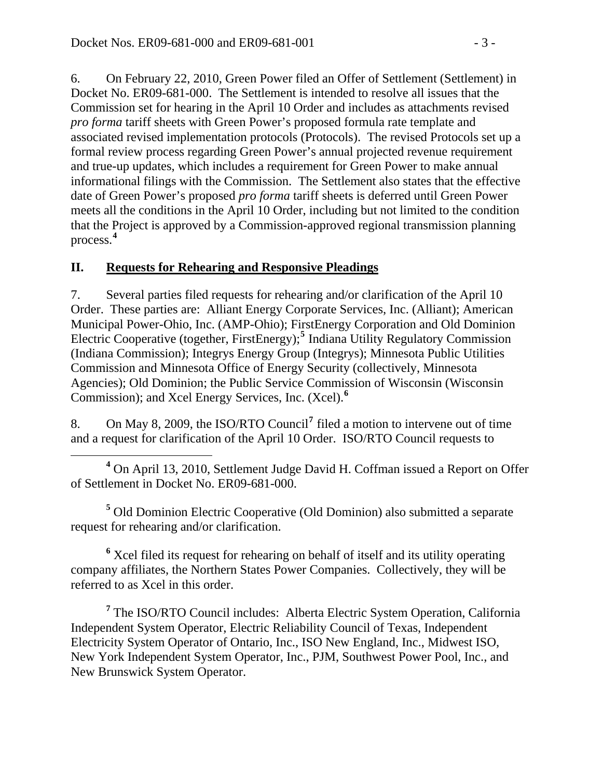6. On February 22, 2010, Green Power filed an Offer of Settlement (Settlement) in Docket No. ER09-681-000. The Settlement is intended to resolve all issues that the Commission set for hearing in the April 10 Order and includes as attachments revised *pro forma* tariff sheets with Green Power's proposed formula rate template and associated revised implementation protocols (Protocols). The revised Protocols set up a formal review process regarding Green Power's annual projected revenue requirement and true-up updates, which includes a requirement for Green Power to make annual informational filings with the Commission. The Settlement also states that the effective date of Green Power's proposed *pro forma* tariff sheets is deferred until Green Power meets all the conditions in the April 10 Order, including but not limited to the condition that the Project is approved by a Commission-approved regional transmission planning process.**[4](#page-2-0)**

### **II. Requests for Rehearing and Responsive Pleadings**

7. Several parties filed requests for rehearing and/or clarification of the April 10 Order. These parties are: Alliant Energy Corporate Services, Inc. (Alliant); American Municipal Power-Ohio, Inc. (AMP-Ohio); FirstEnergy Corporation and Old Dominion Electric Cooperative (together, FirstEnergy);<sup>[5](#page-2-1)</sup> Indiana Utility Regulatory Commission (Indiana Commission); Integrys Energy Group (Integrys); Minnesota Public Utilities Commission and Minnesota Office of Energy Security (collectively, Minnesota Agencies); Old Dominion; the Public Service Commission of Wisconsin (Wisconsin Commission); and Xcel Energy Services, Inc. (Xcel).**[6](#page-2-2)**

8. On May 8, 2009, the ISO/RTO Council**[7](#page-2-3)** filed a motion to intervene out of time and a request for clarification of the April 10 Order. ISO/RTO Council requests to

<span id="page-2-0"></span> **<sup>4</sup>** <sup>4</sup> On April 13, 2010, Settlement Judge David H. Coffman issued a Report on Offer of Settlement in Docket No. ER09-681-000.

<span id="page-2-1"></span>**5** Old Dominion Electric Cooperative (Old Dominion) also submitted a separate request for rehearing and/or clarification.

<span id="page-2-2"></span><sup>6</sup> Xcel filed its request for rehearing on behalf of itself and its utility operating company affiliates, the Northern States Power Companies. Collectively, they will be referred to as Xcel in this order.

<span id="page-2-3"></span><sup>7</sup> The ISO/RTO Council includes: Alberta Electric System Operation, California Independent System Operator, Electric Reliability Council of Texas, Independent Electricity System Operator of Ontario, Inc., ISO New England, Inc., Midwest ISO, New York Independent System Operator, Inc., PJM, Southwest Power Pool, Inc., and New Brunswick System Operator.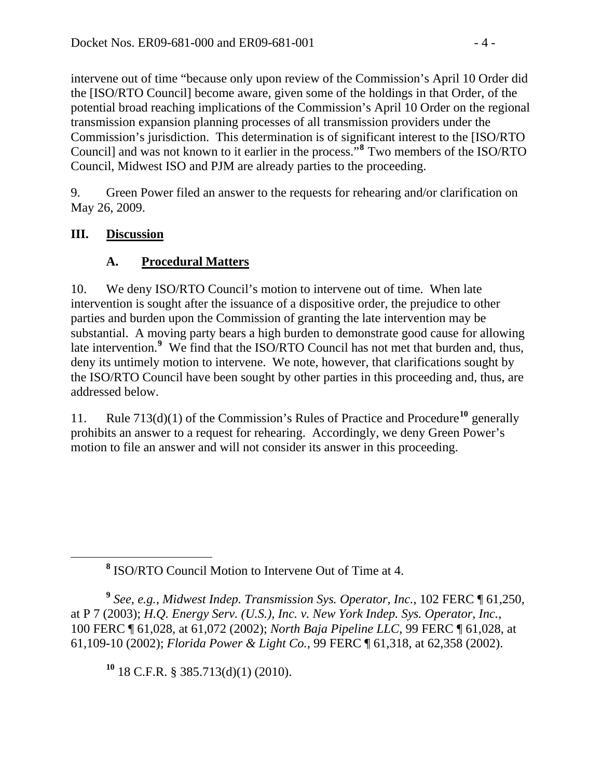intervene out of time "because only upon review of the Commission's April 10 Order did the [ISO/RTO Council] become aware, given some of the holdings in that Order, of the potential broad reaching implications of the Commission's April 10 Order on the regional transmission expansion planning processes of all transmission providers under the Commission's jurisdiction. This determination is of significant interest to the [ISO/RTO Council] and was not known to it earlier in the process."**<sup>8</sup>** Two members of the ISO/RTO Council, Midwest ISO and PJM are already parties to the proceeding.

9. Green Power filed an answer to the requests for rehearing and/or clarification on May 26, 2009.

### **III. Discussion**

### **A. Procedural Matters**

10. We deny ISO/RTO Council's motion to intervene out of time. When late intervention is sought after the issuance of a dispositive order, the prejudice to other parties and burden upon the Commission of granting the late intervention may be substantial. A moving party bears a high burden to demonstrate good cause for allowing late intervention.<sup>[9](#page-3-0)</sup> We find that the ISO/RTO Council has not met that burden and, thus, deny its untimely motion to intervene. We note, however, that clarifications sought by the ISO/RTO Council have been sought by other parties in this proceeding and, thus, are addressed below.

11. Rule 713(d)(1) of the Commission's Rules of Practice and Procedure**[10](#page-3-1)** generally prohibits an answer to a request for rehearing. Accordingly, we deny Green Power's motion to file an answer and will not consider its answer in this proceeding.

<span id="page-3-1"></span><span id="page-3-0"></span>**<sup>9</sup>** *See, e.g., Midwest Indep. Transmission Sys. Operator, Inc.*, 102 FERC ¶ 61,250, at P 7 (2003); *H.Q. Energy Serv. (U.S.), Inc. v. New York Indep. Sys. Operator, Inc.*, 100 FERC ¶ 61,028, at 61,072 (2002); *North Baja Pipeline LLC*, 99 FERC ¶ 61,028, at 61,109-10 (2002); *Florida Power & Light Co.*, 99 FERC ¶ 61,318, at 62,358 (2002).

**<sup>10</sup>** 18 C.F.R. § 385.713(d)(1) (2010).

**<sup>8</sup>** <sup>8</sup> ISO/RTO Council Motion to Intervene Out of Time at 4.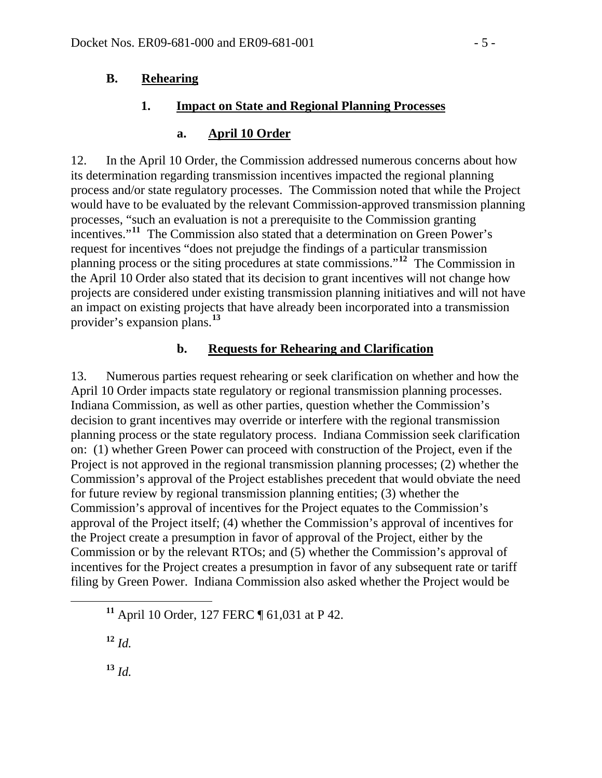#### **B. Rehearing**

#### **1. Impact on State and Regional Planning Processes**

#### **a. April 10 Order**

12. In the April 10 Order, the Commission addressed numerous concerns about how its determination regarding transmission incentives impacted the regional planning process and/or state regulatory processes. The Commission noted that while the Project would have to be evaluated by the relevant Commission-approved transmission planning processes, "such an evaluation is not a prerequisite to the Commission granting incentives."**[11](#page-4-0)** The Commission also stated that a determination on Green Power's request for incentives "does not prejudge the findings of a particular transmission planning process or the siting procedures at state commissions."**[12](#page-4-1)** The Commission in the April 10 Order also stated that its decision to grant incentives will not change how projects are considered under existing transmission planning initiatives and will not have an impact on existing projects that have already been incorporated into a transmission provider's expansion plans.**[13](#page-4-2)**

#### **b. Requests for Rehearing and Clarification**

13. Numerous parties request rehearing or seek clarification on whether and how the April 10 Order impacts state regulatory or regional transmission planning processes. Indiana Commission, as well as other parties, question whether the Commission's decision to grant incentives may override or interfere with the regional transmission planning process or the state regulatory process. Indiana Commission seek clarification on: (1) whether Green Power can proceed with construction of the Project, even if the Project is not approved in the regional transmission planning processes; (2) whether the Commission's approval of the Project establishes precedent that would obviate the need for future review by regional transmission planning entities; (3) whether the Commission's approval of incentives for the Project equates to the Commission's approval of the Project itself; (4) whether the Commission's approval of incentives for the Project create a presumption in favor of approval of the Project, either by the Commission or by the relevant RTOs; and (5) whether the Commission's approval of incentives for the Project creates a presumption in favor of any subsequent rate or tariff filing by Green Power. Indiana Commission also asked whether the Project would be

<span id="page-4-2"></span><span id="page-4-1"></span> $12^{\circ}$  *Id.* 

<span id="page-4-0"></span>**<sup>11</sup>** April 10 Order, 127 FERC ¶ 61,031 at P 42.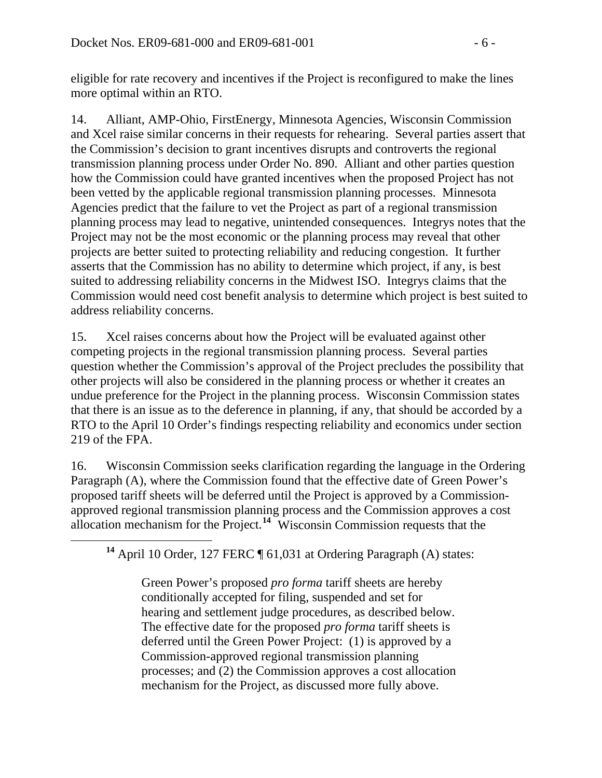eligible for rate recovery and incentives if the Project is reconfigured to make the lines more optimal within an RTO.

14. Alliant, AMP-Ohio, FirstEnergy, Minnesota Agencies, Wisconsin Commission and Xcel raise similar concerns in their requests for rehearing. Several parties assert that the Commission's decision to grant incentives disrupts and controverts the regional transmission planning process under Order No. 890. Alliant and other parties question how the Commission could have granted incentives when the proposed Project has not been vetted by the applicable regional transmission planning processes. Minnesota Agencies predict that the failure to vet the Project as part of a regional transmission planning process may lead to negative, unintended consequences. Integrys notes that the Project may not be the most economic or the planning process may reveal that other projects are better suited to protecting reliability and reducing congestion. It further asserts that the Commission has no ability to determine which project, if any, is best suited to addressing reliability concerns in the Midwest ISO. Integrys claims that the Commission would need cost benefit analysis to determine which project is best suited to address reliability concerns.

15. Xcel raises concerns about how the Project will be evaluated against other competing projects in the regional transmission planning process. Several parties question whether the Commission's approval of the Project precludes the possibility that other projects will also be considered in the planning process or whether it creates an undue preference for the Project in the planning process. Wisconsin Commission states that there is an issue as to the deference in planning, if any, that should be accorded by a RTO to the April 10 Order's findings respecting reliability and economics under section 219 of the FPA.

16. Wisconsin Commission seeks clarification regarding the language in the Ordering Paragraph (A), where the Commission found that the effective date of Green Power's proposed tariff sheets will be deferred until the Project is approved by a Commissionapproved regional transmission planning process and the Commission approves a cost allocation mechanism for the Project.**[14](#page-5-0)** Wisconsin Commission requests that the

<span id="page-5-0"></span><sup>14</sup> April 10 Order, 127 FERC ¶ 61,031 at Ordering Paragraph (A) states:

Green Power's proposed *pro forma* tariff sheets are hereby conditionally accepted for filing, suspended and set for hearing and settlement judge procedures, as described below. The effective date for the proposed *pro forma* tariff sheets is deferred until the Green Power Project: (1) is approved by a Commission-approved regional transmission planning processes; and (2) the Commission approves a cost allocation mechanism for the Project, as discussed more fully above.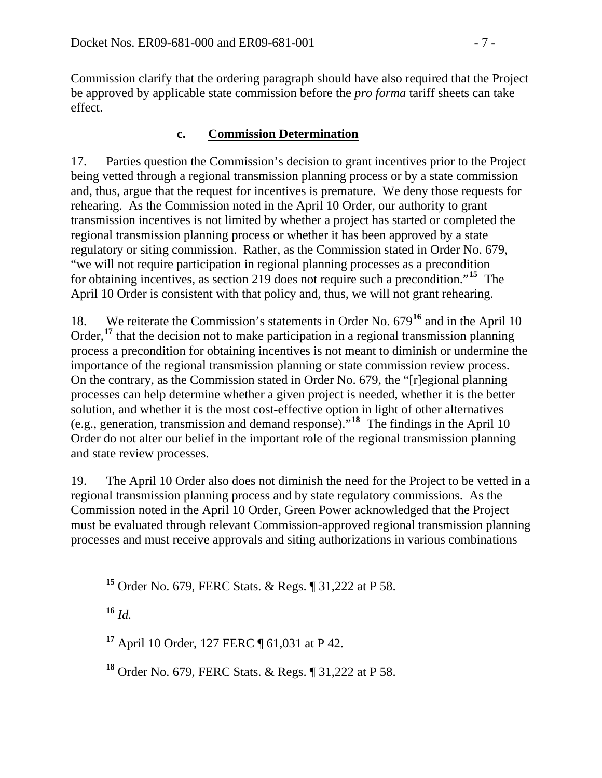Commission clarify that the ordering paragraph should have also required that the Project be approved by applicable state commission before the *pro forma* tariff sheets can take effect.

#### **c. Commission Determination**

17. Parties question the Commission's decision to grant incentives prior to the Project being vetted through a regional transmission planning process or by a state commission and, thus, argue that the request for incentives is premature. We deny those requests for rehearing. As the Commission noted in the April 10 Order, our authority to grant transmission incentives is not limited by whether a project has started or completed the regional transmission planning process or whether it has been approved by a state regulatory or siting commission. Rather, as the Commission stated in Order No. 679, "we will not require participation in regional planning processes as a precondition for obtaining incentives, as section 219 does not require such a precondition."**[15](#page-6-0)** The April 10 Order is consistent with that policy and, thus, we will not grant rehearing.

18. We reiterate the Commission's statements in Order No. 679**[16](#page-6-1)** and in the April 10 Order,<sup>[17](#page-6-2)</sup> that the decision not to make participation in a regional transmission planning process a precondition for obtaining incentives is not meant to diminish or undermine the importance of the regional transmission planning or state commission review process. On the contrary, as the Commission stated in Order No. 679, the "[r]egional planning processes can help determine whether a given project is needed, whether it is the better solution, and whether it is the most cost-effective option in light of other alternatives (e.g., generation, transmission and demand response)."**[18](#page-6-3)** The findings in the April 10 Order do not alter our belief in the important role of the regional transmission planning and state review processes.

19. The April 10 Order also does not diminish the need for the Project to be vetted in a regional transmission planning process and by state regulatory commissions. As the Commission noted in the April 10 Order, Green Power acknowledged that the Project must be evaluated through relevant Commission-approved regional transmission planning processes and must receive approvals and siting authorizations in various combinations

<span id="page-6-1"></span>**<sup>16</sup>** *Id.*

<span id="page-6-2"></span>**<sup>17</sup>** April 10 Order, 127 FERC ¶ 61,031 at P 42.

<span id="page-6-3"></span>**<sup>18</sup>** Order No. 679, FERC Stats. & Regs. ¶ 31,222 at P 58.

<span id="page-6-0"></span>**<sup>15</sup>** Order No. 679, FERC Stats. & Regs. ¶ 31,222 at P 58.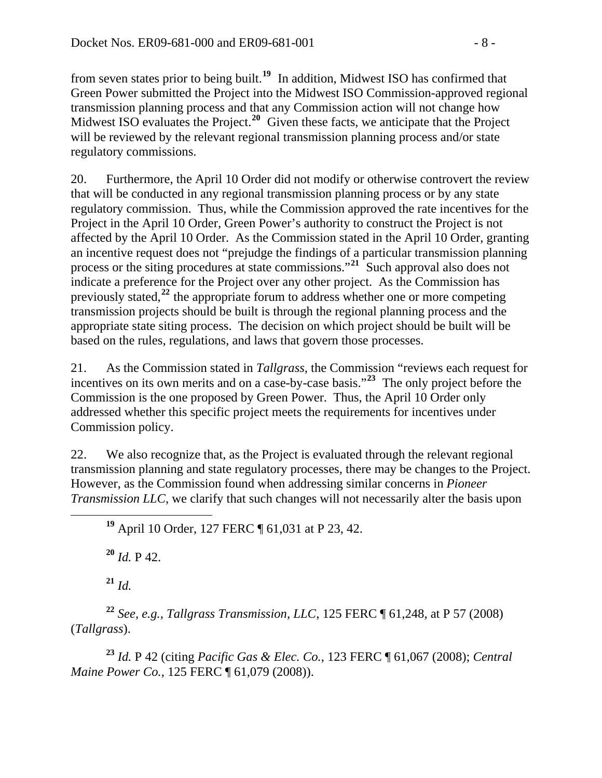from seven states prior to being built.**<sup>19</sup>** In addition, Midwest ISO has confirmed that Green Power submitted the Project into the Midwest ISO Commission-approved regional transmission planning process and that any Commission action will not change how Midwest ISO evaluates the Project.<sup>20</sup> Given these facts, we anticipate that the Project will be reviewed by the relevant regional transmission planning process and/or state regulatory commissions.

20. Furthermore, the April 10 Order did not modify or otherwise controvert the review that will be conducted in any regional transmission planning process or by any state regulatory commission. Thus, while the Commission approved the rate incentives for the Project in the April 10 Order, Green Power's authority to construct the Project is not affected by the April 10 Order. As the Commission stated in the April 10 Order, granting an incentive request does not "prejudge the findings of a particular transmission planning process or the siting procedures at state commissions."**[21](#page-7-0)** Such approval also does not indicate a preference for the Project over any other project. As the Commission has previously stated,**[22](#page-7-1)** the appropriate forum to address whether one or more competing transmission projects should be built is through the regional planning process and the appropriate state siting process. The decision on which project should be built will be based on the rules, regulations, and laws that govern those processes.

21. As the Commission stated in *Tallgrass*, the Commission "reviews each request for incentives on its own merits and on a case-by-case basis."**[23](#page-7-2)** The only project before the Commission is the one proposed by Green Power. Thus, the April 10 Order only addressed whether this specific project meets the requirements for incentives under Commission policy.

22. We also recognize that, as the Project is evaluated through the relevant regional transmission planning and state regulatory processes, there may be changes to the Project. However, as the Commission found when addressing similar concerns in *Pioneer Transmission LLC*, we clarify that such changes will not necessarily alter the basis upon

**<sup>19</sup>** April 10 Order, 127 FERC ¶ 61,031 at P 23, 42.

 $^{20}$  *Id.* P 42.

**<sup>21</sup>** *Id.*

<span id="page-7-1"></span><span id="page-7-0"></span>**<sup>22</sup>** *See, e.g., Tallgrass Transmission, LLC*, 125 FERC ¶ 61,248, at P 57 (2008) (*Tallgrass*).

<span id="page-7-2"></span>**<sup>23</sup>** *Id.* P 42 (citing *Pacific Gas & Elec. Co.*, 123 FERC ¶ 61,067 (2008); *Central Maine Power Co.*, 125 FERC ¶ 61,079 (2008)).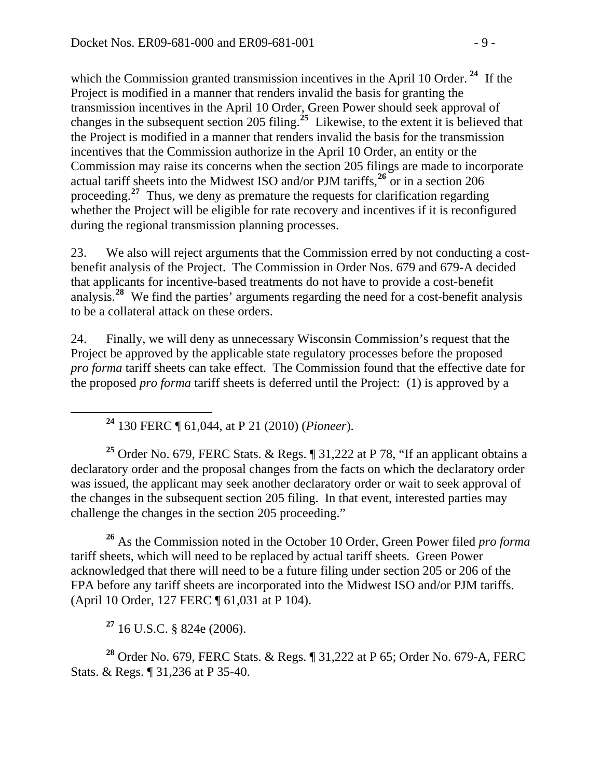which the Commission granted transmission incentives in the April 10 Order.<sup>24</sup> If the Project is modified in a manner that renders invalid the basis for granting the transmission incentives in the April 10 Order, Green Power should seek approval of changes in the subsequent section 205 filing.**<sup>25</sup>** Likewise, to the extent it is believed that the Project is modified in a manner that renders invalid the basis for the transmission incentives that the Commission authorize in the April 10 Order, an entity or the Commission may raise its concerns when the section 205 filings are made to incorporate actual tariff sheets into the Midwest ISO and/or PJM tariffs,**<sup>26</sup>** or in a section 206 proceeding.**<sup>27</sup>** Thus, we deny as premature the requests for clarification regarding whether the Project will be eligible for rate recovery and incentives if it is reconfigured during the regional transmission planning processes.

23. We also will reject arguments that the Commission erred by not conducting a costbenefit analysis of the Project. The Commission in Order Nos. 679 and 679-A decided that applicants for incentive-based treatments do not have to provide a cost-benefit analysis.**[28](#page-8-0)** We find the parties' arguments regarding the need for a cost-benefit analysis to be a collateral attack on these orders.

24. Finally, we will deny as unnecessary Wisconsin Commission's request that the Project be approved by the applicable state regulatory processes before the proposed *pro forma* tariff sheets can take effect. The Commission found that the effective date for the proposed *pro forma* tariff sheets is deferred until the Project: (1) is approved by a

**<sup>24</sup>** 130 FERC ¶ 61,044, at P 21 (2010) (*Pioneer*).

**<sup>25</sup>** Order No. 679, FERC Stats. & Regs. ¶ 31,222 at P 78, "If an applicant obtains a declaratory order and the proposal changes from the facts on which the declaratory order was issued, the applicant may seek another declaratory order or wait to seek approval of the changes in the subsequent section 205 filing. In that event, interested parties may challenge the changes in the section 205 proceeding."

**<sup>26</sup>** As the Commission noted in the October 10 Order, Green Power filed *pro forma*  tariff sheets, which will need to be replaced by actual tariff sheets. Green Power acknowledged that there will need to be a future filing under section 205 or 206 of the FPA before any tariff sheets are incorporated into the Midwest ISO and/or PJM tariffs. (April 10 Order, 127 FERC ¶ 61,031 at P 104).

**<sup>27</sup>** 16 U.S.C. § 824e (2006).

<span id="page-8-0"></span>**<sup>28</sup>** Order No. 679, FERC Stats. & Regs. ¶ 31,222 at P 65; Order No. 679-A, FERC Stats. & Regs. ¶ 31,236 at P 35-40.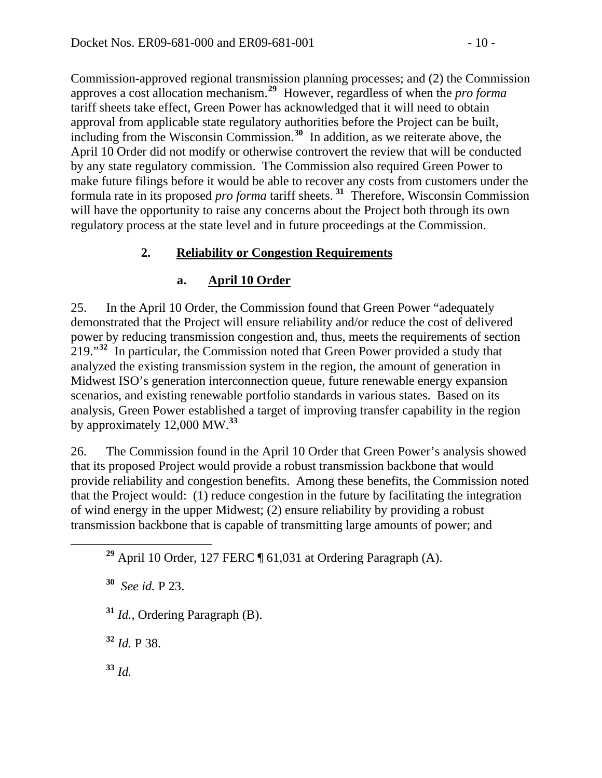Commission-approved regional transmission planning processes; and (2) the Commission approves a cost allocation mechanism.**<sup>29</sup>** However, regardless of when the *pro forma*  tariff sheets take effect, Green Power has acknowledged that it will need to obtain approval from applicable state regulatory authorities before the Project can be built, including from the Wisconsin Commission.**<sup>30</sup>** In addition, as we reiterate above, the April 10 Order did not modify or otherwise controvert the review that will be conducted by any state regulatory commission. The Commission also required Green Power to make future filings before it would be able to recover any costs from customers under the formula rate in its proposed *pro forma* tariff sheets. **<sup>31</sup>** Therefore, Wisconsin Commission will have the opportunity to raise any concerns about the Project both through its own regulatory process at the state level and in future proceedings at the Commission.

### **2. Reliability or Congestion Requirements**

### **a. April 10 Order**

25. In the April 10 Order, the Commission found that Green Power "adequately demonstrated that the Project will ensure reliability and/or reduce the cost of delivered power by reducing transmission congestion and, thus, meets the requirements of section 219."**[32](#page-9-0)** In particular, the Commission noted that Green Power provided a study that analyzed the existing transmission system in the region, the amount of generation in Midwest ISO's generation interconnection queue, future renewable energy expansion scenarios, and existing renewable portfolio standards in various states. Based on its analysis, Green Power established a target of improving transfer capability in the region by approximately 12,000 MW.**[33](#page-9-1)**

26. The Commission found in the April 10 Order that Green Power's analysis showed that its proposed Project would provide a robust transmission backbone that would provide reliability and congestion benefits. Among these benefits, the Commission noted that the Project would: (1) reduce congestion in the future by facilitating the integration of wind energy in the upper Midwest; (2) ensure reliability by providing a robust transmission backbone that is capable of transmitting large amounts of power; and

**<sup>30</sup>** *See id.* P 23.

- **<sup>31</sup>** *Id.*, Ordering Paragraph (B).
- <span id="page-9-0"></span>**<sup>32</sup>** *Id.* P 38.
- <span id="page-9-1"></span>**<sup>33</sup>** *Id.*

**<sup>29</sup>** April 10 Order, 127 FERC ¶ 61,031 at Ordering Paragraph (A).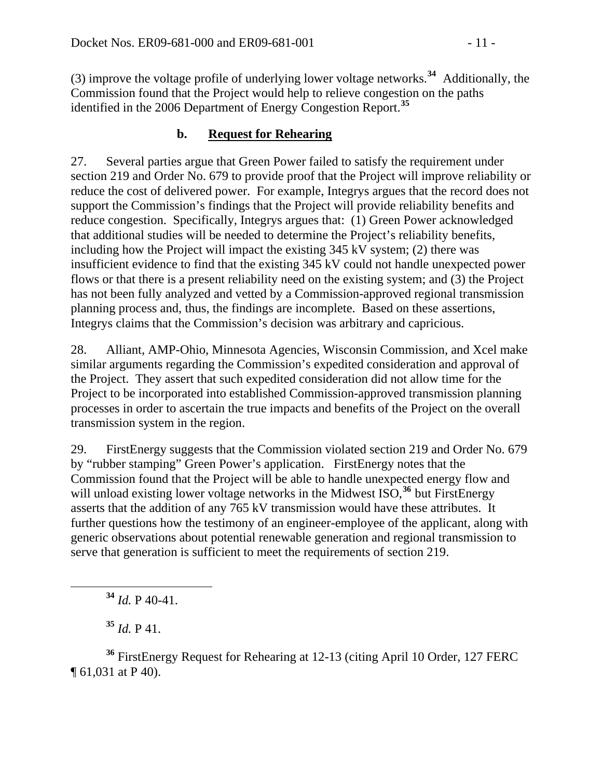(3) improve the voltage profile of underlying lower voltage networks.**<sup>34</sup>** Additionally, the Commission found that the Project would help to relieve congestion on the paths identified in the 2006 Department of Energy Congestion Report.**<sup>35</sup>**

# **b. Request for Rehearing**

27. Several parties argue that Green Power failed to satisfy the requirement under section 219 and Order No. 679 to provide proof that the Project will improve reliability or reduce the cost of delivered power. For example, Integrys argues that the record does not support the Commission's findings that the Project will provide reliability benefits and reduce congestion. Specifically, Integrys argues that: (1) Green Power acknowledged that additional studies will be needed to determine the Project's reliability benefits, including how the Project will impact the existing 345 kV system; (2) there was insufficient evidence to find that the existing 345 kV could not handle unexpected power flows or that there is a present reliability need on the existing system; and (3) the Project has not been fully analyzed and vetted by a Commission-approved regional transmission planning process and, thus, the findings are incomplete. Based on these assertions, Integrys claims that the Commission's decision was arbitrary and capricious.

28. Alliant, AMP-Ohio, Minnesota Agencies, Wisconsin Commission, and Xcel make similar arguments regarding the Commission's expedited consideration and approval of the Project. They assert that such expedited consideration did not allow time for the Project to be incorporated into established Commission-approved transmission planning processes in order to ascertain the true impacts and benefits of the Project on the overall transmission system in the region.

29. FirstEnergy suggests that the Commission violated section 219 and Order No. 679 by "rubber stamping" Green Power's application. FirstEnergy notes that the Commission found that the Project will be able to handle unexpected energy flow and will unload existing lower voltage networks in the Midwest ISO,<sup>[36](#page-10-0)</sup> but FirstEnergy asserts that the addition of any 765 kV transmission would have these attributes. It further questions how the testimony of an engineer-employee of the applicant, along with generic observations about potential renewable generation and regional transmission to serve that generation is sufficient to meet the requirements of section 219.

**<sup>34</sup>** *Id.* P 40-41.

 $35$  *Id.* P 41.

<span id="page-10-0"></span>**<sup>36</sup>** FirstEnergy Request for Rehearing at 12-13 (citing April 10 Order, 127 FERC ¶ 61,031 at P 40).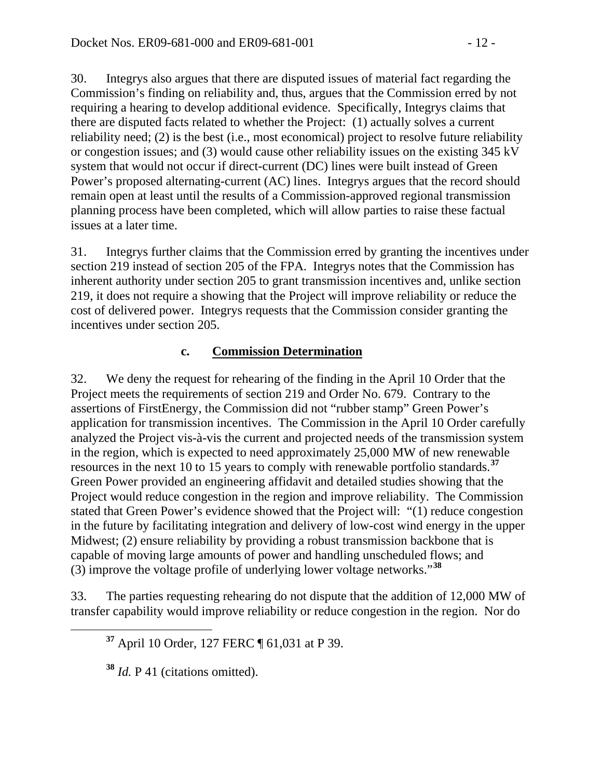30. Integrys also argues that there are disputed issues of material fact regarding the Commission's finding on reliability and, thus, argues that the Commission erred by not requiring a hearing to develop additional evidence. Specifically, Integrys claims that there are disputed facts related to whether the Project: (1) actually solves a current reliability need; (2) is the best (i.e., most economical) project to resolve future reliability or congestion issues; and (3) would cause other reliability issues on the existing 345 kV system that would not occur if direct-current (DC) lines were built instead of Green Power's proposed alternating-current (AC) lines. Integrys argues that the record should remain open at least until the results of a Commission-approved regional transmission planning process have been completed, which will allow parties to raise these factual issues at a later time.

31. Integrys further claims that the Commission erred by granting the incentives under section 219 instead of section 205 of the FPA. Integrys notes that the Commission has inherent authority under section 205 to grant transmission incentives and, unlike section 219, it does not require a showing that the Project will improve reliability or reduce the cost of delivered power. Integrys requests that the Commission consider granting the incentives under section 205.

### **c. Commission Determination**

32. We deny the request for rehearing of the finding in the April 10 Order that the Project meets the requirements of section 219 and Order No. 679. Contrary to the assertions of FirstEnergy, the Commission did not "rubber stamp" Green Power's application for transmission incentives. The Commission in the April 10 Order carefully analyzed the Project vis-à-vis the current and projected needs of the transmission system in the region, which is expected to need approximately 25,000 MW of new renewable resources in the next 10 to 15 years to comply with renewable portfolio standards.**[37](#page-11-0)** Green Power provided an engineering affidavit and detailed studies showing that the Project would reduce congestion in the region and improve reliability. The Commission stated that Green Power's evidence showed that the Project will: "(1) reduce congestion in the future by facilitating integration and delivery of low-cost wind energy in the upper Midwest; (2) ensure reliability by providing a robust transmission backbone that is capable of moving large amounts of power and handling unscheduled flows; and (3) improve the voltage profile of underlying lower voltage networks."**[38](#page-11-1)**

<span id="page-11-0"></span>33. The parties requesting rehearing do not dispute that the addition of 12,000 MW of transfer capability would improve reliability or reduce congestion in the region. Nor do

**<sup>37</sup>** April 10 Order, 127 FERC ¶ 61,031 at P 39.

<span id="page-11-1"></span>**<sup>38</sup>** *Id.* P 41 (citations omitted).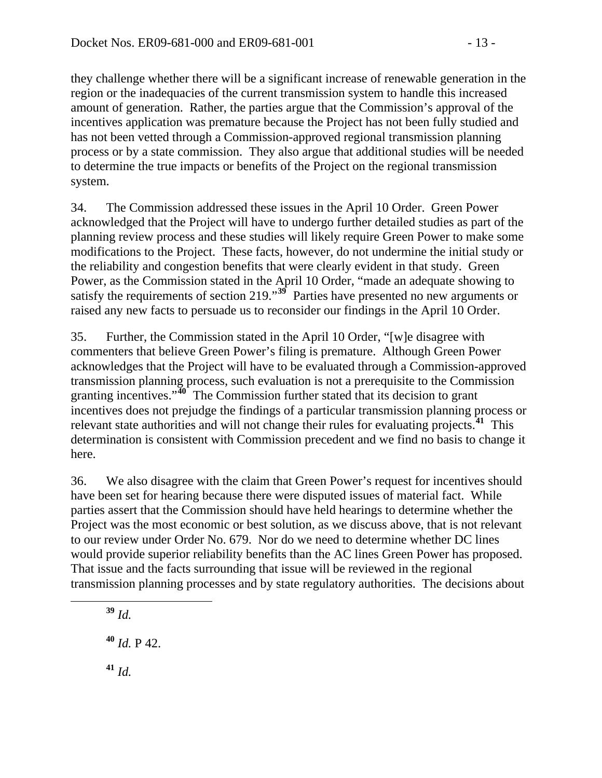they challenge whether there will be a significant increase of renewable generation in the region or the inadequacies of the current transmission system to handle this increased amount of generation. Rather, the parties argue that the Commission's approval of the incentives application was premature because the Project has not been fully studied and has not been vetted through a Commission-approved regional transmission planning process or by a state commission. They also argue that additional studies will be needed to determine the true impacts or benefits of the Project on the regional transmission system.

34. The Commission addressed these issues in the April 10 Order. Green Power acknowledged that the Project will have to undergo further detailed studies as part of the planning review process and these studies will likely require Green Power to make some modifications to the Project. These facts, however, do not undermine the initial study or the reliability and congestion benefits that were clearly evident in that study. Green Power, as the Commission stated in the April 10 Order, "made an adequate showing to satisfy the requirements of section 219."<sup>[39](#page-12-0)</sup> Parties have presented no new arguments or raised any new facts to persuade us to reconsider our findings in the April 10 Order.

35. Further, the Commission stated in the April 10 Order, "[w]e disagree with commenters that believe Green Power's filing is premature. Although Green Power acknowledges that the Project will have to be evaluated through a Commission-approved transmission planning process, such evaluation is not a prerequisite to the Commission granting incentives."**[40](#page-12-1)** The Commission further stated that its decision to grant incentives does not prejudge the findings of a particular transmission planning process or relevant state authorities and will not change their rules for evaluating projects.**[41](#page-12-2)** This determination is consistent with Commission precedent and we find no basis to change it here.

36. We also disagree with the claim that Green Power's request for incentives should have been set for hearing because there were disputed issues of material fact. While parties assert that the Commission should have held hearings to determine whether the Project was the most economic or best solution, as we discuss above, that is not relevant to our review under Order No. 679. Nor do we need to determine whether DC lines would provide superior reliability benefits than the AC lines Green Power has proposed. That issue and the facts surrounding that issue will be reviewed in the regional transmission planning processes and by state regulatory authorities. The decisions about

<span id="page-12-2"></span><span id="page-12-1"></span><span id="page-12-0"></span> **<sup>39</sup>** *Id.* **<sup>40</sup>** *Id.* P 42. **<sup>41</sup>** *Id.*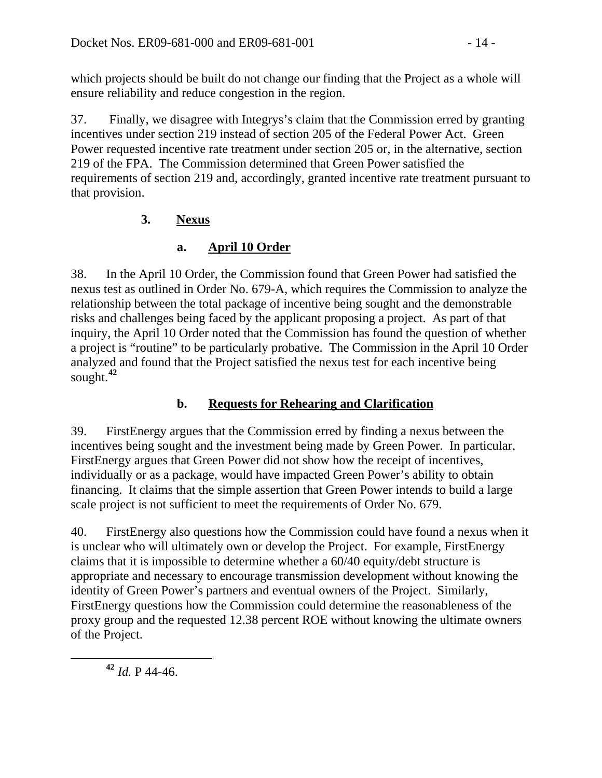which projects should be built do not change our finding that the Project as a whole will ensure reliability and reduce congestion in the region.

37. Finally, we disagree with Integrys's claim that the Commission erred by granting incentives under section 219 instead of section 205 of the Federal Power Act. Green Power requested incentive rate treatment under section 205 or, in the alternative, section 219 of the FPA. The Commission determined that Green Power satisfied the requirements of section 219 and, accordingly, granted incentive rate treatment pursuant to that provision.

# **3. Nexus**

# **a. April 10 Order**

38. In the April 10 Order, the Commission found that Green Power had satisfied the nexus test as outlined in Order No. 679-A, which requires the Commission to analyze the relationship between the total package of incentive being sought and the demonstrable risks and challenges being faced by the applicant proposing a project. As part of that inquiry, the April 10 Order noted that the Commission has found the question of whether a project is "routine" to be particularly probative. The Commission in the April 10 Order analyzed and found that the Project satisfied the nexus test for each incentive being sought.**[42](#page-13-0)**

# **b. Requests for Rehearing and Clarification**

39. FirstEnergy argues that the Commission erred by finding a nexus between the incentives being sought and the investment being made by Green Power. In particular, FirstEnergy argues that Green Power did not show how the receipt of incentives, individually or as a package, would have impacted Green Power's ability to obtain financing. It claims that the simple assertion that Green Power intends to build a large scale project is not sufficient to meet the requirements of Order No. 679.

40. FirstEnergy also questions how the Commission could have found a nexus when it is unclear who will ultimately own or develop the Project. For example, FirstEnergy claims that it is impossible to determine whether a 60/40 equity/debt structure is appropriate and necessary to encourage transmission development without knowing the identity of Green Power's partners and eventual owners of the Project. Similarly, FirstEnergy questions how the Commission could determine the reasonableness of the proxy group and the requested 12.38 percent ROE without knowing the ultimate owners of the Project.

<span id="page-13-0"></span>**<sup>42</sup>** *Id.* P 44-46.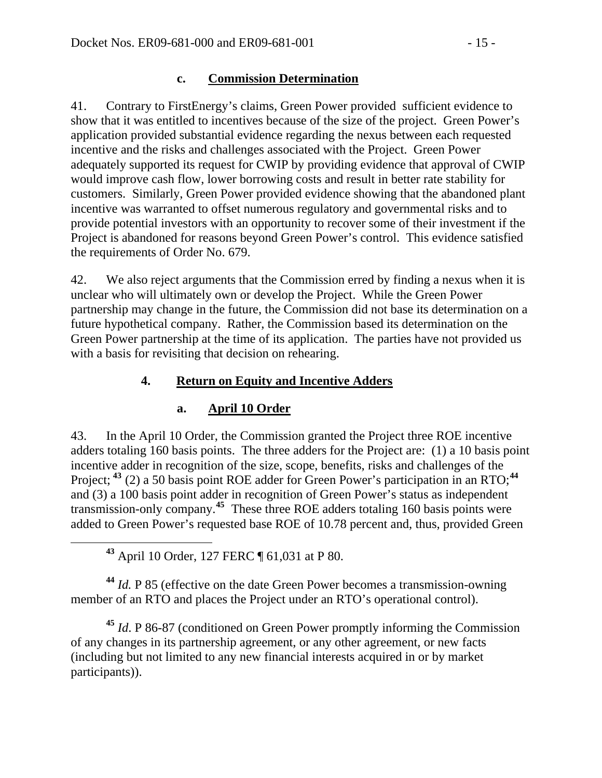#### **c. Commission Determination**

41. Contrary to FirstEnergy's claims, Green Power provided sufficient evidence to show that it was entitled to incentives because of the size of the project. Green Power's application provided substantial evidence regarding the nexus between each requested incentive and the risks and challenges associated with the Project. Green Power adequately supported its request for CWIP by providing evidence that approval of CWIP would improve cash flow, lower borrowing costs and result in better rate stability for customers. Similarly, Green Power provided evidence showing that the abandoned plant incentive was warranted to offset numerous regulatory and governmental risks and to provide potential investors with an opportunity to recover some of their investment if the Project is abandoned for reasons beyond Green Power's control. This evidence satisfied the requirements of Order No. 679.

42. We also reject arguments that the Commission erred by finding a nexus when it is unclear who will ultimately own or develop the Project. While the Green Power partnership may change in the future, the Commission did not base its determination on a future hypothetical company. Rather, the Commission based its determination on the Green Power partnership at the time of its application. The parties have not provided us with a basis for revisiting that decision on rehearing.

### **4. Return on Equity and Incentive Adders**

#### **a. April 10 Order**

43. In the April 10 Order, the Commission granted the Project three ROE incentive adders totaling 160 basis points. The three adders for the Project are: (1) a 10 basis point incentive adder in recognition of the size, scope, benefits, risks and challenges of the Project; <sup>[43](#page-14-0)</sup> (2) a 50 basis point ROE adder for Green Power's participation in an RTO; <sup>[44](#page-14-1)</sup> and (3) a 100 basis point adder in recognition of Green Power's status as independent transmission-only company.**[45](#page-14-2)** These three ROE adders totaling 160 basis points were added to Green Power's requested base ROE of 10.78 percent and, thus, provided Green

**<sup>43</sup>** April 10 Order, 127 FERC ¶ 61,031 at P 80.

<span id="page-14-1"></span><span id="page-14-0"></span>**<sup>44</sup>** *Id.* P 85 (effective on the date Green Power becomes a transmission-owning member of an RTO and places the Project under an RTO's operational control).

<span id="page-14-2"></span>**<sup>45</sup>** *Id*. P 86-87 (conditioned on Green Power promptly informing the Commission of any changes in its partnership agreement, or any other agreement, or new facts (including but not limited to any new financial interests acquired in or by market participants)).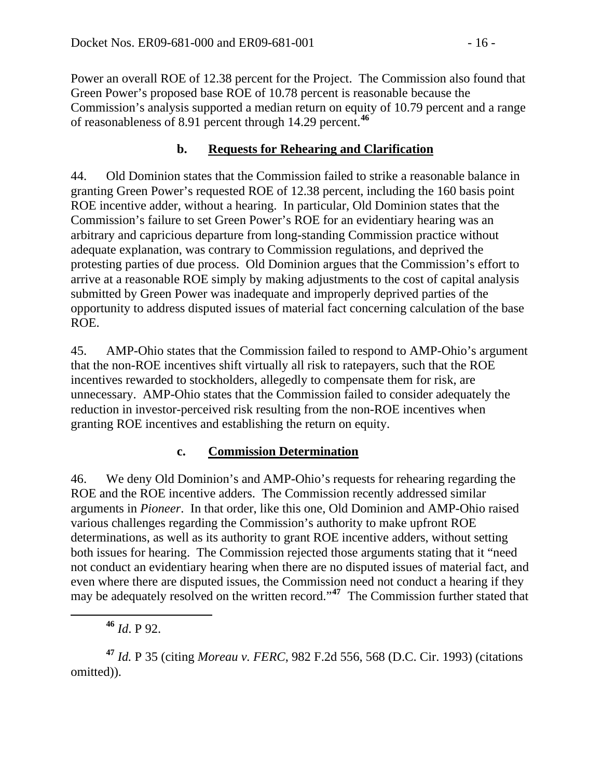Power an overall ROE of 12.38 percent for the Project. The Commission also found that Green Power's proposed base ROE of 10.78 percent is reasonable because the Commission's analysis supported a median return on equity of 10.79 percent and a range of reasonableness of 8.91 percent through 14.29 percent.**<sup>46</sup>**

#### **b. Requests for Rehearing and Clarification**

44. Old Dominion states that the Commission failed to strike a reasonable balance in granting Green Power's requested ROE of 12.38 percent, including the 160 basis point ROE incentive adder, without a hearing. In particular, Old Dominion states that the Commission's failure to set Green Power's ROE for an evidentiary hearing was an arbitrary and capricious departure from long-standing Commission practice without adequate explanation, was contrary to Commission regulations, and deprived the protesting parties of due process. Old Dominion argues that the Commission's effort to arrive at a reasonable ROE simply by making adjustments to the cost of capital analysis submitted by Green Power was inadequate and improperly deprived parties of the opportunity to address disputed issues of material fact concerning calculation of the base ROE.

45. AMP-Ohio states that the Commission failed to respond to AMP-Ohio's argument that the non-ROE incentives shift virtually all risk to ratepayers, such that the ROE incentives rewarded to stockholders, allegedly to compensate them for risk, are unnecessary. AMP-Ohio states that the Commission failed to consider adequately the reduction in investor-perceived risk resulting from the non-ROE incentives when granting ROE incentives and establishing the return on equity.

#### **c. Commission Determination**

46. We deny Old Dominion's and AMP-Ohio's requests for rehearing regarding the ROE and the ROE incentive adders. The Commission recently addressed similar arguments in *Pioneer*. In that order, like this one, Old Dominion and AMP-Ohio raised various challenges regarding the Commission's authority to make upfront ROE determinations, as well as its authority to grant ROE incentive adders, without setting both issues for hearing. The Commission rejected those arguments stating that it "need not conduct an evidentiary hearing when there are no disputed issues of material fact, and even where there are disputed issues, the Commission need not conduct a hearing if they may be adequately resolved on the written record."**[47](#page-15-0)** The Commission further stated that

**<sup>46</sup>** *Id*. P 92.

<span id="page-15-0"></span>**<sup>47</sup>** *Id.* P 35 (citing *Moreau v. FERC*, 982 F.2d 556, 568 (D.C. Cir. 1993) (citations omitted)).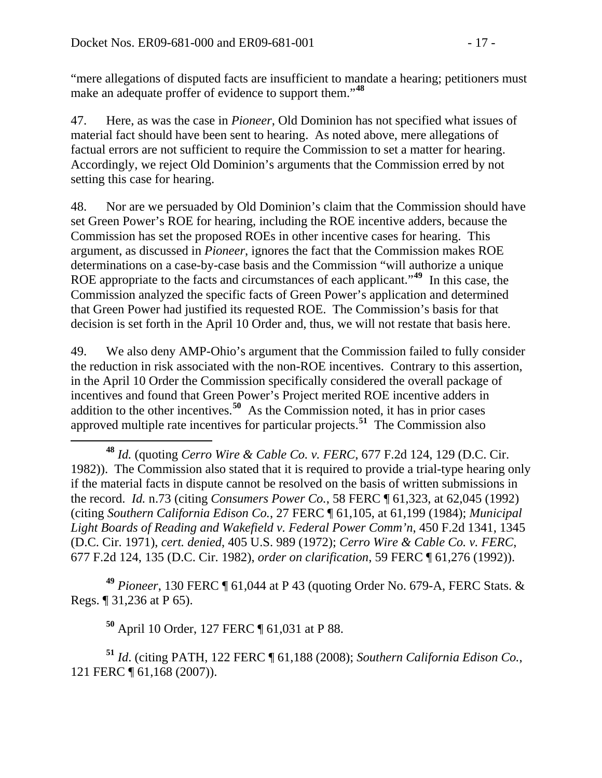"mere allegations of disputed facts are insufficient to mandate a hearing; petitioners must make an adequate proffer of evidence to support them."**<sup>48</sup>**

47. Here, as was the case in *Pioneer*, Old Dominion has not specified what issues of material fact should have been sent to hearing. As noted above, mere allegations of factual errors are not sufficient to require the Commission to set a matter for hearing. Accordingly, we reject Old Dominion's arguments that the Commission erred by not setting this case for hearing.

48. Nor are we persuaded by Old Dominion's claim that the Commission should have set Green Power's ROE for hearing, including the ROE incentive adders, because the Commission has set the proposed ROEs in other incentive cases for hearing. This argument, as discussed in *Pioneer*, ignores the fact that the Commission makes ROE determinations on a case-by-case basis and the Commission "will authorize a unique ROE appropriate to the facts and circumstances of each applicant."**[49](#page-16-0)** In this case, the Commission analyzed the specific facts of Green Power's application and determined that Green Power had justified its requested ROE. The Commission's basis for that decision is set forth in the April 10 Order and, thus, we will not restate that basis here.

49. We also deny AMP-Ohio's argument that the Commission failed to fully consider the reduction in risk associated with the non-ROE incentives. Contrary to this assertion, in the April 10 Order the Commission specifically considered the overall package of incentives and found that Green Power's Project merited ROE incentive adders in addition to the other incentives.**[50](#page-16-1)** As the Commission noted, it has in prior cases approved multiple rate incentives for particular projects.**[51](#page-16-2)** The Commission also

 **<sup>48</sup>** *Id.* (quoting *Cerro Wire & Cable Co. v. FERC*, 677 F.2d 124, 129 (D.C. Cir. 1982)). The Commission also stated that it is required to provide a trial-type hearing only if the material facts in dispute cannot be resolved on the basis of written submissions in the record. *Id.* n.73 (citing *Consumers Power Co.*, 58 FERC ¶ 61,323, at 62,045 (1992) (citing *Southern California Edison Co.*, 27 FERC ¶ 61,105, at 61,199 (1984); *Municipal Light Boards of Reading and Wakefield v. Federal Power Comm'n*, 450 F.2d 1341, 1345 (D.C. Cir. 1971), *cert. denied*, 405 U.S. 989 (1972); *Cerro Wire & Cable Co. v. FERC*, 677 F.2d 124, 135 (D.C. Cir. 1982), *order on clarification*, 59 FERC ¶ 61,276 (1992)).

<span id="page-16-0"></span>**<sup>49</sup>** *Pioneer*, 130 FERC ¶ 61,044 at P 43 (quoting Order No. 679-A, FERC Stats. & Regs. ¶ 31,236 at P 65).

**<sup>50</sup>** April 10 Order, 127 FERC ¶ 61,031 at P 88.

<span id="page-16-2"></span><span id="page-16-1"></span>**<sup>51</sup>** *Id*. (citing PATH, 122 FERC ¶ 61,188 (2008); *Southern California Edison Co.*, 121 FERC ¶ 61,168 (2007)).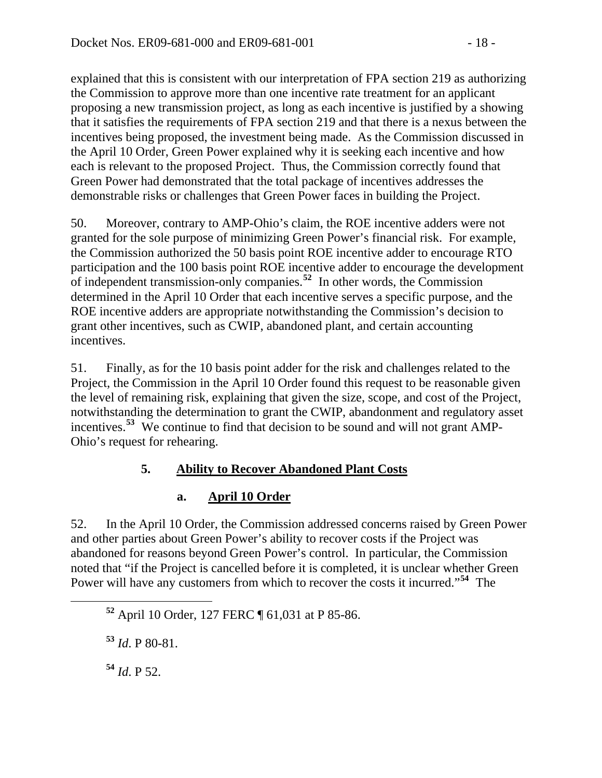explained that this is consistent with our interpretation of FPA section 219 as authorizing the Commission to approve more than one incentive rate treatment for an applicant proposing a new transmission project, as long as each incentive is justified by a showing that it satisfies the requirements of FPA section 219 and that there is a nexus between the incentives being proposed, the investment being made. As the Commission discussed in the April 10 Order, Green Power explained why it is seeking each incentive and how each is relevant to the proposed Project. Thus, the Commission correctly found that Green Power had demonstrated that the total package of incentives addresses the demonstrable risks or challenges that Green Power faces in building the Project.

50. Moreover, contrary to AMP-Ohio's claim, the ROE incentive adders were not granted for the sole purpose of minimizing Green Power's financial risk. For example, the Commission authorized the 50 basis point ROE incentive adder to encourage RTO participation and the 100 basis point ROE incentive adder to encourage the development of independent transmission-only companies.**[52](#page-17-0)** In other words, the Commission determined in the April 10 Order that each incentive serves a specific purpose, and the ROE incentive adders are appropriate notwithstanding the Commission's decision to grant other incentives, such as CWIP, abandoned plant, and certain accounting incentives.

51. Finally, as for the 10 basis point adder for the risk and challenges related to the Project, the Commission in the April 10 Order found this request to be reasonable given the level of remaining risk, explaining that given the size, scope, and cost of the Project, notwithstanding the determination to grant the CWIP, abandonment and regulatory asset incentives.**[53](#page-17-1)** We continue to find that decision to be sound and will not grant AMP-Ohio's request for rehearing.

# **5. Ability to Recover Abandoned Plant Costs**

# **a. April 10 Order**

52. In the April 10 Order, the Commission addressed concerns raised by Green Power and other parties about Green Power's ability to recover costs if the Project was abandoned for reasons beyond Green Power's control. In particular, the Commission noted that "if the Project is cancelled before it is completed, it is unclear whether Green Power will have any customers from which to recover the costs it incurred."**[54](#page-17-2)** The

<span id="page-17-1"></span>**<sup>53</sup>** *Id*. P 80-81.

<span id="page-17-2"></span>**<sup>54</sup>** *Id*. P 52.

<span id="page-17-0"></span>**<sup>52</sup>** April 10 Order, 127 FERC ¶ 61,031 at P 85-86.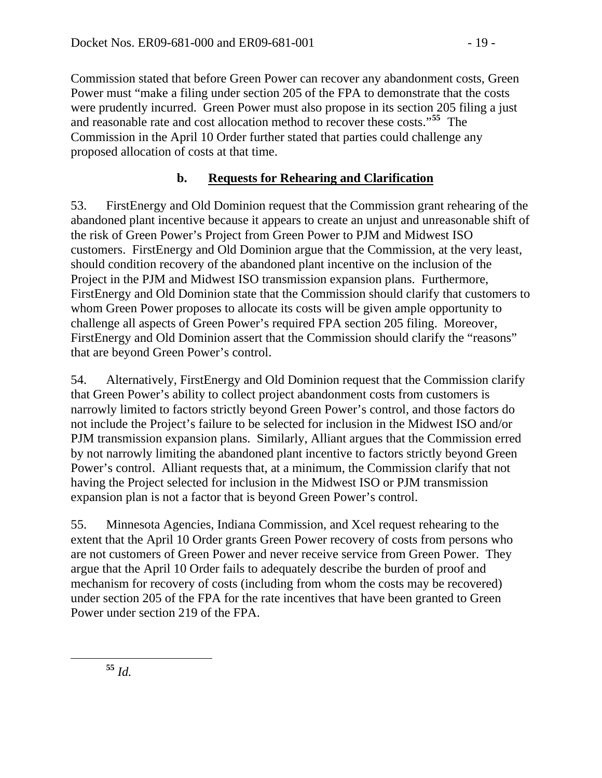Commission stated that before Green Power can recover any abandonment costs, Green Power must "make a filing under section 205 of the FPA to demonstrate that the costs were prudently incurred. Green Power must also propose in its section 205 filing a just and reasonable rate and cost allocation method to recover these costs."**<sup>55</sup>** The Commission in the April 10 Order further stated that parties could challenge any proposed allocation of costs at that time.

### **b. Requests for Rehearing and Clarification**

53. FirstEnergy and Old Dominion request that the Commission grant rehearing of the abandoned plant incentive because it appears to create an unjust and unreasonable shift of the risk of Green Power's Project from Green Power to PJM and Midwest ISO customers. FirstEnergy and Old Dominion argue that the Commission, at the very least, should condition recovery of the abandoned plant incentive on the inclusion of the Project in the PJM and Midwest ISO transmission expansion plans. Furthermore, FirstEnergy and Old Dominion state that the Commission should clarify that customers to whom Green Power proposes to allocate its costs will be given ample opportunity to challenge all aspects of Green Power's required FPA section 205 filing. Moreover, FirstEnergy and Old Dominion assert that the Commission should clarify the "reasons" that are beyond Green Power's control.

54. Alternatively, FirstEnergy and Old Dominion request that the Commission clarify that Green Power's ability to collect project abandonment costs from customers is narrowly limited to factors strictly beyond Green Power's control, and those factors do not include the Project's failure to be selected for inclusion in the Midwest ISO and/or PJM transmission expansion plans. Similarly, Alliant argues that the Commission erred by not narrowly limiting the abandoned plant incentive to factors strictly beyond Green Power's control. Alliant requests that, at a minimum, the Commission clarify that not having the Project selected for inclusion in the Midwest ISO or PJM transmission expansion plan is not a factor that is beyond Green Power's control.

55. Minnesota Agencies, Indiana Commission, and Xcel request rehearing to the extent that the April 10 Order grants Green Power recovery of costs from persons who are not customers of Green Power and never receive service from Green Power. They argue that the April 10 Order fails to adequately describe the burden of proof and mechanism for recovery of costs (including from whom the costs may be recovered) under section 205 of the FPA for the rate incentives that have been granted to Green Power under section 219 of the FPA.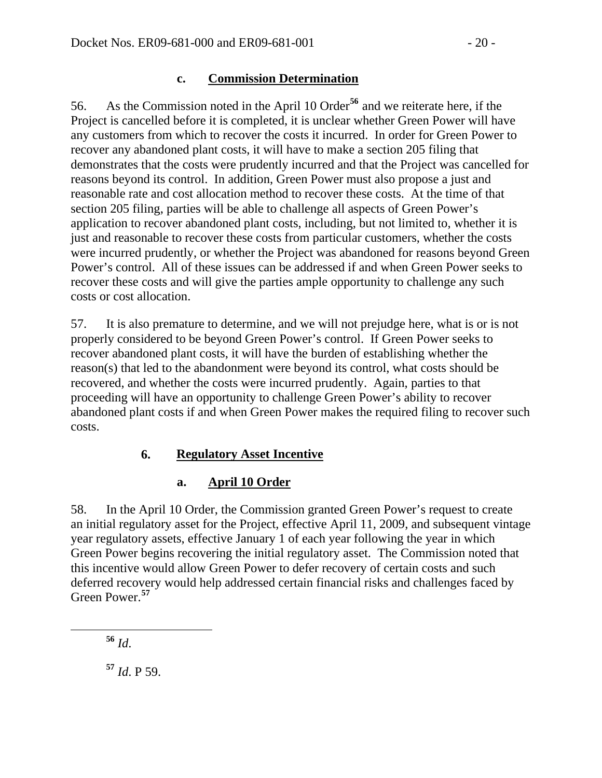#### **c. Commission Determination**

56. As the Commission noted in the April 10 Order**[56](#page-19-0)** and we reiterate here, if the Project is cancelled before it is completed, it is unclear whether Green Power will have any customers from which to recover the costs it incurred. In order for Green Power to recover any abandoned plant costs, it will have to make a section 205 filing that demonstrates that the costs were prudently incurred and that the Project was cancelled for reasons beyond its control. In addition, Green Power must also propose a just and reasonable rate and cost allocation method to recover these costs. At the time of that section 205 filing, parties will be able to challenge all aspects of Green Power's application to recover abandoned plant costs, including, but not limited to, whether it is just and reasonable to recover these costs from particular customers, whether the costs were incurred prudently, or whether the Project was abandoned for reasons beyond Green Power's control. All of these issues can be addressed if and when Green Power seeks to recover these costs and will give the parties ample opportunity to challenge any such costs or cost allocation.

57. It is also premature to determine, and we will not prejudge here, what is or is not properly considered to be beyond Green Power's control. If Green Power seeks to recover abandoned plant costs, it will have the burden of establishing whether the reason(s) that led to the abandonment were beyond its control, what costs should be recovered, and whether the costs were incurred prudently. Again, parties to that proceeding will have an opportunity to challenge Green Power's ability to recover abandoned plant costs if and when Green Power makes the required filing to recover such costs.

#### **6. Regulatory Asset Incentive**

#### **a. April 10 Order**

58. In the April 10 Order, the Commission granted Green Power's request to create an initial regulatory asset for the Project, effective April 11, 2009, and subsequent vintage year regulatory assets, effective January 1 of each year following the year in which Green Power begins recovering the initial regulatory asset. The Commission noted that this incentive would allow Green Power to defer recovery of certain costs and such deferred recovery would help addressed certain financial risks and challenges faced by Green Power.**[57](#page-19-1)**

<span id="page-19-0"></span>**<sup>56</sup>** *Id*.

<span id="page-19-1"></span>**<sup>57</sup>** *Id*. P 59.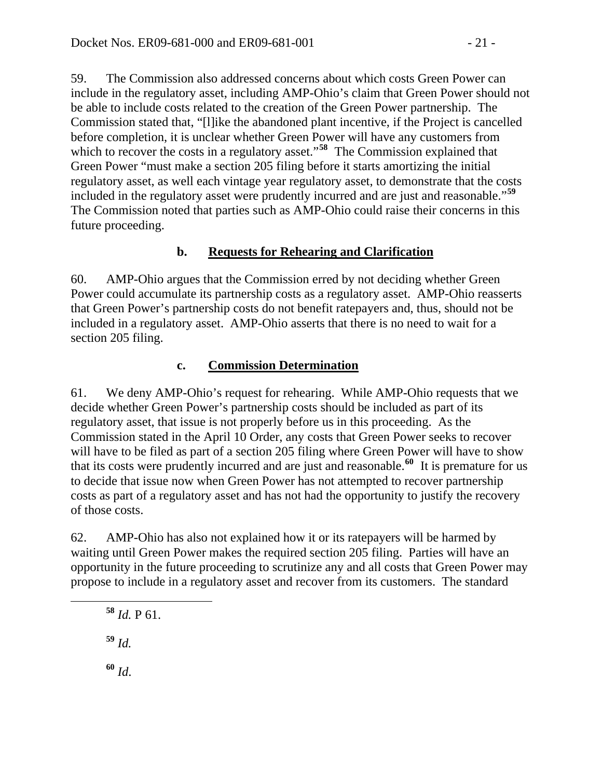59. The Commission also addressed concerns about which costs Green Power can include in the regulatory asset, including AMP-Ohio's claim that Green Power should not be able to include costs related to the creation of the Green Power partnership. The Commission stated that, "[l]ike the abandoned plant incentive, if the Project is cancelled before completion, it is unclear whether Green Power will have any customers from which to recover the costs in a regulatory asset."<sup>[58](#page-20-0)</sup> The Commission explained that Green Power "must make a section 205 filing before it starts amortizing the initial regulatory asset, as well each vintage year regulatory asset, to demonstrate that the costs included in the regulatory asset were prudently incurred and are just and reasonable."**[59](#page-20-1)** The Commission noted that parties such as AMP-Ohio could raise their concerns in this future proceeding.

### **b. Requests for Rehearing and Clarification**

60. AMP-Ohio argues that the Commission erred by not deciding whether Green Power could accumulate its partnership costs as a regulatory asset. AMP-Ohio reasserts that Green Power's partnership costs do not benefit ratepayers and, thus, should not be included in a regulatory asset. AMP-Ohio asserts that there is no need to wait for a section 205 filing.

### **c. Commission Determination**

61. We deny AMP-Ohio's request for rehearing. While AMP-Ohio requests that we decide whether Green Power's partnership costs should be included as part of its regulatory asset, that issue is not properly before us in this proceeding. As the Commission stated in the April 10 Order, any costs that Green Power seeks to recover will have to be filed as part of a section 205 filing where Green Power will have to show that its costs were prudently incurred and are just and reasonable.**[60](#page-20-2)** It is premature for us to decide that issue now when Green Power has not attempted to recover partnership costs as part of a regulatory asset and has not had the opportunity to justify the recovery of those costs.

62. AMP-Ohio has also not explained how it or its ratepayers will be harmed by waiting until Green Power makes the required section 205 filing. Parties will have an opportunity in the future proceeding to scrutinize any and all costs that Green Power may propose to include in a regulatory asset and recover from its customers. The standard

<span id="page-20-0"></span>**<sup>58</sup>** *Id.* P 61.

<span id="page-20-1"></span>**<sup>59</sup>** *Id.*

<span id="page-20-2"></span>**<sup>60</sup>** *Id*.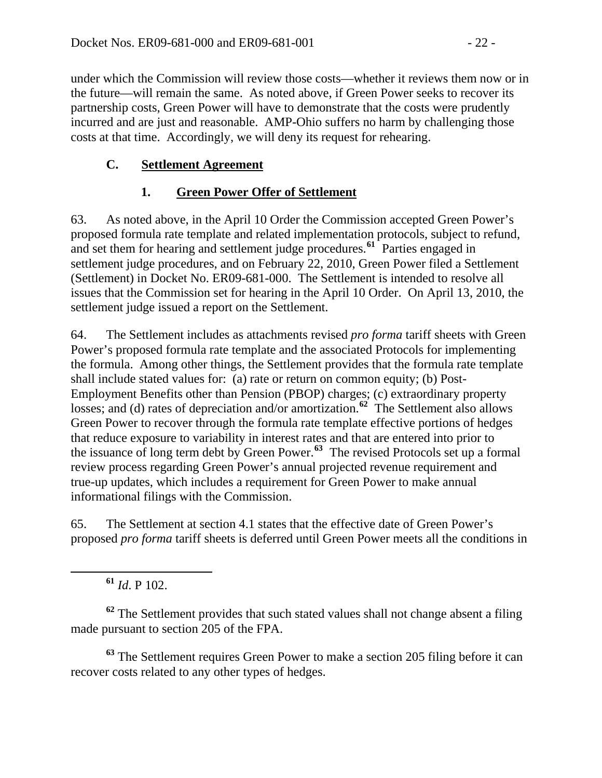under which the Commission will review those costs—whether it reviews them now or in the future—will remain the same. As noted above, if Green Power seeks to recover its partnership costs, Green Power will have to demonstrate that the costs were prudently incurred and are just and reasonable. AMP-Ohio suffers no harm by challenging those costs at that time. Accordingly, we will deny its request for rehearing.

### **C. Settlement Agreement**

#### **1. Green Power Offer of Settlement**

63. As noted above, in the April 10 Order the Commission accepted Green Power's proposed formula rate template and related implementation protocols, subject to refund, and set them for hearing and settlement judge procedures.**[61](#page-21-0)** Parties engaged in settlement judge procedures, and on February 22, 2010, Green Power filed a Settlement (Settlement) in Docket No. ER09-681-000. The Settlement is intended to resolve all issues that the Commission set for hearing in the April 10 Order. On April 13, 2010, t he settlement judge issued a report on the Sett lement.

64. The Settlement includes as attachments revised *pro forma* tariff sheets with Green Power's proposed formula rate template and the associated Protocols for implementing the formula. Among other things, the Settlement provides that the formula rate template shall include stated values for: (a) rate or return on common equity; (b) Post-Employment Benefits other than Pension (PBOP) charges; (c) extraordinary property losses; and (d) rates of depreciation and/or amortization.**[62](#page-21-1)** The Settlement also allows Green Power to recover through the formula rate template effective portions of hedges that reduce exposure to variability in interest rates and that are entered into prior to the issuance of long term debt by Green Power.**[63](#page-21-2)** The revised Protocols set up a formal review process regarding Green Power's annual projected revenue requirement and true-up updates, which includes a requirement for Green Power to make annual informational filings with the Commission.

65. The Settlement at section 4.1 states that the effective date of Green Power's proposed *pro forma* tariff sheets is deferred until Green Power meets all the conditions in

**<sup>61</sup>** *Id*. P 102.

<span id="page-21-0"></span> $\overline{a}$ 

<span id="page-21-1"></span>**<sup>62</sup>** The Settlement provides that such stated values shall not change absent a filing made pursuant to section 205 of the FPA.

<span id="page-21-2"></span>**<sup>63</sup>** The Settlement requires Green Power to make a section 205 filing before it can recover costs related to any other types of hedges.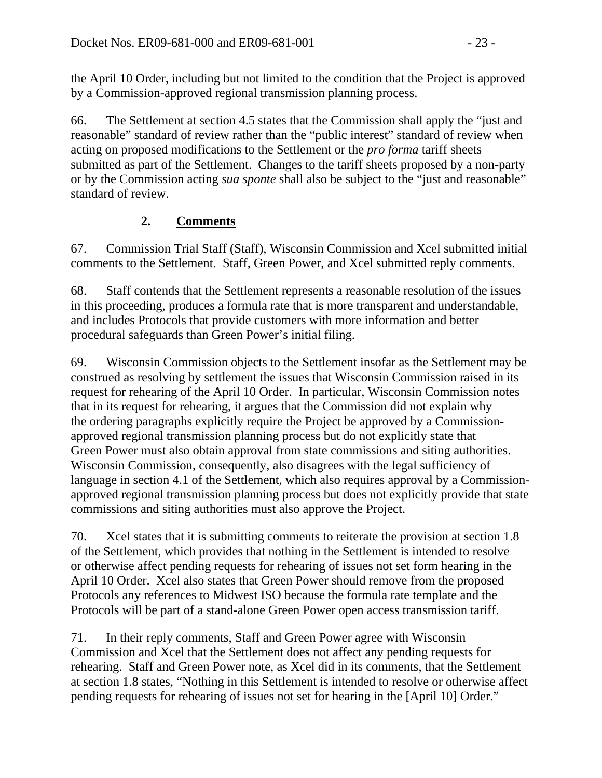the April 10 Order, including but not limited to the condition that the Project is approved by a Commission-approved regional transmission planning process.

66. The Settlement at section 4.5 states that the Commission shall apply the "just and reasonable" standard of review rather than the "public interest" standard of review when acting on proposed modifications to the Settlement or the *pro forma* tariff sheets submitted as part of the Settlement. Changes to the tariff sheets proposed by a non-party or by the Commission acting *sua sponte* shall also be subject to the "just and reasonable" standard of review.

### **2. Comments**

67. Commission Trial Staff (Staff), Wisconsin Commission and Xcel submitted initial comments to the Settlement. Staff, Green Power, and Xcel submitted reply comments.

68. Staff contends that the Settlement represents a reasonable resolution of the issues in this proceeding, produces a formula rate that is more transparent and understandable, and includes Protocols that provide customers with more information and better procedural safeguards than Green Power's initial filing.

69. Wisconsin Commission objects to the Settlement insofar as the Settlement may be construed as resolving by settlement the issues that Wisconsin Commission raised in its request for rehearing of the April 10 Order. In particular, Wisconsin Commission notes that in its request for rehearing, it argues that the Commission did not explain why the ordering paragraphs explicitly require the Project be approved by a Commissionapproved regional transmission planning process but do not explicitly state that Green Power must also obtain approval from state commissions and siting authorities. Wisconsin Commission, consequently, also disagrees with the legal sufficiency of language in section 4.1 of the Settlement, which also requires approval by a Commissionapproved regional transmission planning process but does not explicitly provide that state commissions and siting authorities must also approve the Project.

70. Xcel states that it is submitting comments to reiterate the provision at section 1.8 of the Settlement, which provides that nothing in the Settlement is intended to resolve or otherwise affect pending requests for rehearing of issues not set form hearing in the April 10 Order. Xcel also states that Green Power should remove from the proposed Protocols any references to Midwest ISO because the formula rate template and the Protocols will be part of a stand-alone Green Power open access transmission tariff.

71. In their reply comments, Staff and Green Power agree with Wisconsin Commission and Xcel that the Settlement does not affect any pending requests for rehearing. Staff and Green Power note, as Xcel did in its comments, that the Settlement at section 1.8 states, "Nothing in this Settlement is intended to resolve or otherwise affect pending requests for rehearing of issues not set for hearing in the [April 10] Order."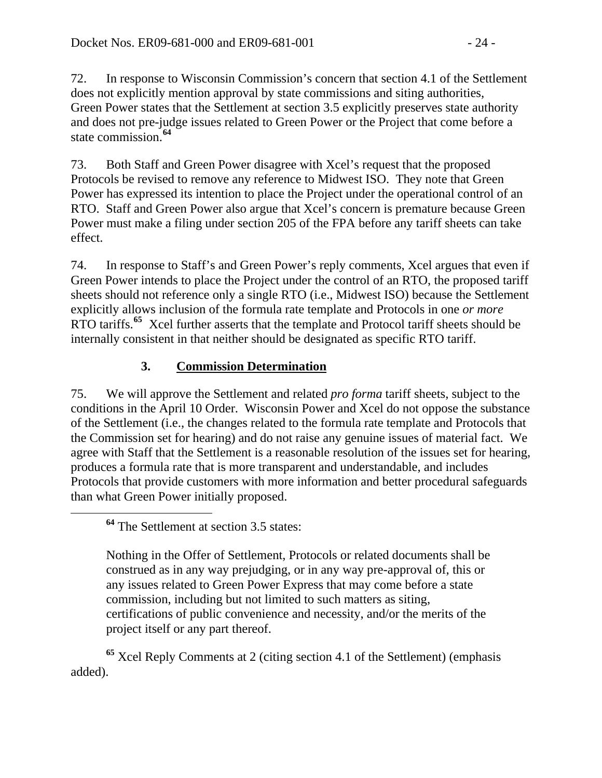72. In response to Wisconsin Commission's concern that section 4.1 of the Settlement does not explicitly mention approval by state commissions and siting authorities, Green Power states that the Settlement at section 3.5 explicitly preserves state authority and does not pre-judge issues related to Green Power or the Project that come before a state commission.**[64](#page-23-0)**

73. Both Staff and Green Power disagree with Xcel's request that the proposed Protocols be revised to remove any reference to Midwest ISO. They note that Green Power has expressed its intention to place the Project under the operational control of an RTO. Staff and Green Power also argue that Xcel's concern is premature because Green Power must make a filing under section 205 of the FPA before any tariff sheets can take effect.

74. In response to Staff's and Green Power's reply comments, Xcel argues that even if Green Power intends to place the Project under the control of an RTO, the proposed tariff sheets should not reference only a single RTO (i.e., Midwest ISO) because the Settlement explicitly allows inclusion of the formula rate template and Protocols in one *or more* RTO tariffs.**[65](#page-23-1)** Xcel further asserts that the template and Protocol tariff sheets should be internally consistent in that neither should be designated as specific RTO tariff.

# **3. Commission Determination**

75. We will approve the Settlement and related *pro forma* tariff sheets, subject to the conditions in the April 10 Order. Wisconsin Power and Xcel do not oppose the substance of the Settlement (i.e., the changes related to the formula rate template and Protocols that the Commission set for hearing) and do not raise any genuine issues of material fact. We agree with Staff that the Settlement is a reasonable resolution of the issues set for hearing, produces a formula rate that is more transparent and understandable, and includes Protocols that provide customers with more information and better procedural safeguards than what Green Power initially proposed.

Nothing in the Offer of Settlement, Protocols or related documents shall be construed as in any way prejudging, or in any way pre-approval of, this or any issues related to Green Power Express that may come before a state commission, including but not limited to such matters as siting, certifications of public convenience and necessity, and/or the merits of the project itself or any part thereof.

<span id="page-23-1"></span>**<sup>65</sup>** Xcel Reply Comments at 2 (citing section 4.1 of the Settlement) (emphasis added).

<span id="page-23-0"></span>**<sup>64</sup>** The Settlement at section 3.5 states: